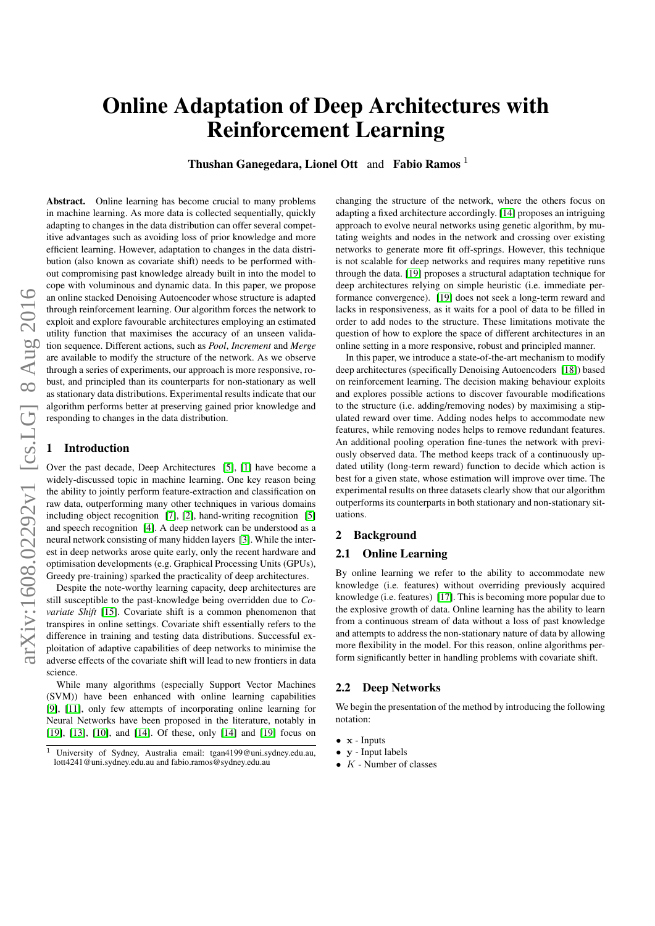# Online Adaptation of Deep Architectures with Reinforcement Learning

Thushan Ganegedara, Lionel Ott and Fabio Ramos <sup>1</sup>

arXiv:1608.02292v1 [cs.LG] 8 Aug 2016 arXiv:1608.02292v1 [cs.LG] 8 Aug 2016 Abstract. Online learning has become crucial to many problems in machine learning. As more data is collected sequentially, quickly adapting to changes in the data distribution can offer several competitive advantages such as avoiding loss of prior knowledge and more efficient learning. However, adaptation to changes in the data distribution (also known as covariate shift) needs to be performed without compromising past knowledge already built in into the model to cope with voluminous and dynamic data. In this paper, we propose an online stacked Denoising Autoencoder whose structure is adapted through reinforcement learning. Our algorithm forces the network to exploit and explore favourable architectures employing an estimated utility function that maximises the accuracy of an unseen validation sequence. Different actions, such as *Pool*, *Increment* and *Merge* are available to modify the structure of the network. As we observe through a series of experiments, our approach is more responsive, robust, and principled than its counterparts for non-stationary as well as stationary data distributions. Experimental results indicate that our algorithm performs better at preserving gained prior knowledge and responding to changes in the data distribution.

### **Introduction**

Over the past decade, Deep Architectures [\[5\]](#page-8-0), [\[1\]](#page-8-1) have become a widely-discussed topic in machine learning. One key reason being the ability to jointly perform feature-extraction and classification on raw data, outperforming many other techniques in various domains including object recognition [\[7\]](#page-8-2), [\[2\]](#page-8-3), hand-writing recognition [\[5\]](#page-8-0) and speech recognition [\[4\]](#page-8-4). A deep network can be understood as a neural network consisting of many hidden layers [\[3\]](#page-8-5). While the interest in deep networks arose quite early, only the recent hardware and optimisation developments (e.g. Graphical Processing Units (GPUs), Greedy pre-training) sparked the practicality of deep architectures.

Despite the note-worthy learning capacity, deep architectures are still susceptible to the past-knowledge being overridden due to *Covariate Shift* [\[15\]](#page-8-6). Covariate shift is a common phenomenon that transpires in online settings. Covariate shift essentially refers to the difference in training and testing data distributions. Successful exploitation of adaptive capabilities of deep networks to minimise the adverse effects of the covariate shift will lead to new frontiers in data science.

While many algorithms (especially Support Vector Machines (SVM)) have been enhanced with online learning capabilities [\[9\]](#page-8-7), [\[11\]](#page-8-8), only few attempts of incorporating online learning for Neural Networks have been proposed in the literature, notably in [\[19\]](#page-8-9), [\[13\]](#page-8-10), [\[10\]](#page-8-11), and [\[14\]](#page-8-12). Of these, only [\[14\]](#page-8-12) and [\[19\]](#page-8-9) focus on changing the structure of the network, where the others focus on adapting a fixed architecture accordingly. [\[14\]](#page-8-12) proposes an intriguing approach to evolve neural networks using genetic algorithm, by mutating weights and nodes in the network and crossing over existing networks to generate more fit off-springs. However, this technique is not scalable for deep networks and requires many repetitive runs through the data. [\[19\]](#page-8-9) proposes a structural adaptation technique for deep architectures relying on simple heuristic (i.e. immediate performance convergence). [\[19\]](#page-8-9) does not seek a long-term reward and lacks in responsiveness, as it waits for a pool of data to be filled in order to add nodes to the structure. These limitations motivate the question of how to explore the space of different architectures in an online setting in a more responsive, robust and principled manner.

In this paper, we introduce a state-of-the-art mechanism to modify deep architectures (specifically Denoising Autoencoders [\[18\]](#page-8-13)) based on reinforcement learning. The decision making behaviour exploits and explores possible actions to discover favourable modifications to the structure (i.e. adding/removing nodes) by maximising a stipulated reward over time. Adding nodes helps to accommodate new features, while removing nodes helps to remove redundant features. An additional pooling operation fine-tunes the network with previously observed data. The method keeps track of a continuously updated utility (long-term reward) function to decide which action is best for a given state, whose estimation will improve over time. The experimental results on three datasets clearly show that our algorithm outperforms its counterparts in both stationary and non-stationary situations.

## 2 Background

# 2.1 Online Learning

By online learning we refer to the ability to accommodate new knowledge (i.e. features) without overriding previously acquired knowledge (i.e. features) [\[17\]](#page-8-14). This is becoming more popular due to the explosive growth of data. Online learning has the ability to learn from a continuous stream of data without a loss of past knowledge and attempts to address the non-stationary nature of data by allowing more flexibility in the model. For this reason, online algorithms perform significantly better in handling problems with covariate shift.

## 2.2 Deep Networks

We begin the presentation of the method by introducing the following notation:

- x Inputs
- y Input labels
- $K$  Number of classes

<sup>1</sup> University of Sydney, Australia email: tgan4199@uni.sydney.edu.au, lott4241@uni.sydney.edu.au and fabio.ramos@sydney.edu.au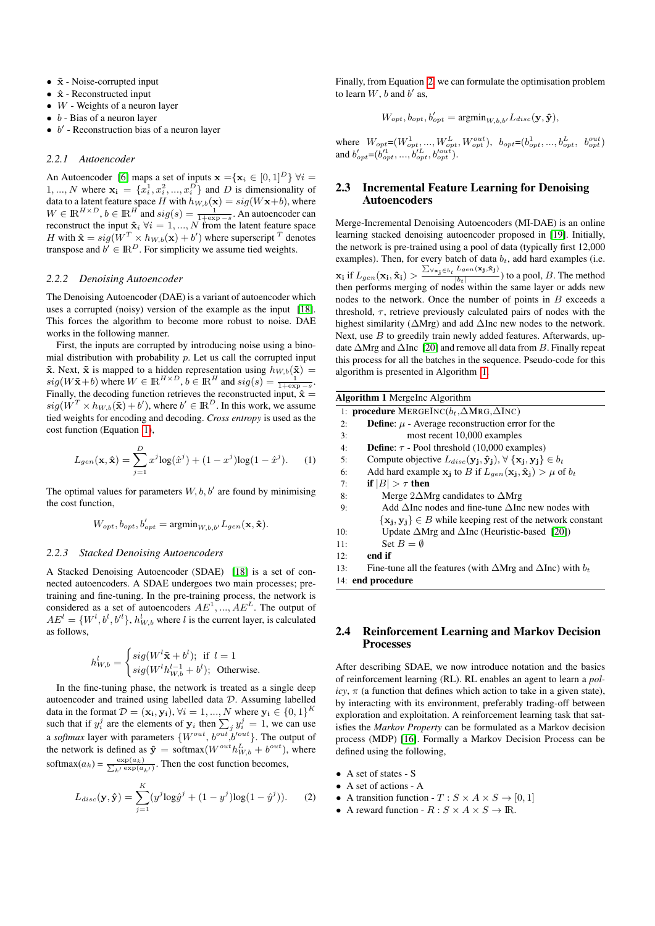- $\tilde{\mathbf{x}}$  Noise-corrupted input
- $\hat{\mathbf{x}}$  Reconstructed input
- $W$  Weights of a neuron layer
- $\bullet$  b Bias of a neuron layer
- $\bullet$  b' Reconstruction bias of a neuron layer

#### *2.2.1 Autoencoder*

An Autoencoder [\[6\]](#page-8-15) maps a set of inputs  $\mathbf{x} = {\mathbf{x}_i \in [0, 1]^D} \ \forall i =$ 1, ..., N where  $\mathbf{x_i} = \{x_i^1, x_i^2, ..., x_i^D\}$  and D is dimensionality of data to a latent feature space H with  $h_{W,b}(\mathbf{x}) = sig(W\mathbf{x}+b)$ , where  $W \in \mathbb{R}^{H \times D}$ ,  $b \in \mathbb{R}^{H}$  and  $sig(s) = \frac{1}{1 + \exp(s)}$ . An autoencoder can reconstruct the input  $\hat{\mathbf{x}}_i \ \forall i = 1, ..., N$  from the latent feature space<br>*H* with  $\hat{\mathbf{x}} = \text{sign}(W^T \times h_{\text{max}}(\mathbf{x}) + h')$  where superscript  $^T$  denotes H with  $\hat{\mathbf{x}} = sig(W^T \times h_{W,b}(\mathbf{x}) + b')$  where superscript  $^T$  denotes transpose and  $b' \in \mathbb{R}^D$ . For simplicity we assume tied weights.

#### *2.2.2 Denoising Autoencoder*

The Denoising Autoencoder (DAE) is a variant of autoencoder which uses a corrupted (noisy) version of the example as the input [\[18\]](#page-8-13). This forces the algorithm to become more robust to noise. DAE works in the following manner.

First, the inputs are corrupted by introducing noise using a binomial distribution with probability  $p$ . Let us call the corrupted input  $\tilde{\mathbf{x}}$ . Next,  $\tilde{\mathbf{x}}$  is mapped to a hidden representation using  $h_{W,b}(\tilde{\mathbf{x}})$  =  $sig(W\tilde{\mathbf{x}}+b)$  where  $W \in \mathbb{R}^{H \times D}$ ,  $b \in \mathbb{R}^{H}$  and  $sig(s) = \frac{1}{1+\exp(s)}$ . Finally, the decoding function retrieves the reconstructed input,  $\hat{\mathbf{x}} =$  $sig(W^T \times h_{W,b}(\tilde{\mathbf{x}}) + b')$ , where  $b' \in \mathbb{R}^D$ . In this work, we assume tied weights for encoding and decoding. *Cross entropy* is used as the cost function (Equation [1\)](#page-1-0),

<span id="page-1-0"></span>
$$
L_{gen}(\mathbf{x}, \hat{\mathbf{x}}) = \sum_{j=1}^{D} x^{j} \log(\hat{x}^{j}) + (1 - x^{j}) \log(1 - \hat{x}^{j}).
$$
 (1)

The optimal values for parameters  $W, b, b'$  are found by minimising the cost function,

$$
W_{opt}, b_{opt}, b'_{opt} = \text{argmin}_{W, b, b'} L_{gen}(\mathbf{x}, \hat{\mathbf{x}}).
$$

#### *2.2.3 Stacked Denoising Autoencoders*

A Stacked Denoising Autoencoder (SDAE) [\[18\]](#page-8-13) is a set of connected autoencoders. A SDAE undergoes two main processes; pretraining and fine-tuning. In the pre-training process, the network is considered as a set of autoencoders  $AE^1, ..., AE^L$ . The output of  $AE^{l} = \{W^{l}, b^{l}, b^{l}\}, h_{W,b}^{l}$  where l is the current layer, is calculated as follows,

$$
h_{W,b}^l = \begin{cases} sig(W^l \tilde{\mathbf{x}} + b^l); & \text{if } l = 1\\ sig(W^l h_{W,b}^{l-1} + b^l); & \text{Otherwise.} \end{cases}
$$

In the fine-tuning phase, the network is treated as a single deep autoencoder and trained using labelled data D. Assuming labelled data in the format  $\mathcal{D} = (\mathbf{x_i}, \mathbf{y_i})$ ,  $\forall i = 1, ..., N$  where  $\mathbf{y_i} \in \{0, 1\}^K$ such that if  $y_i^j$  are the elements of  $y_i$  then  $\sum_j y_i^j = 1$ , we can use a *softmax* layer with parameters  $\{W^{out}, b^{out}, b'^{out}\}$ . The output of the network is defined as  $\hat{y} = \text{softmax}(W^{out} h_{W,b}^L + b^{out})$ , where softmax( $a_k$ ) =  $\frac{\exp(a_k)}{\sum_{k'} \exp(a_{k'})}$ . Then the cost function becomes,

<span id="page-1-1"></span>
$$
L_{disc}(\mathbf{y}, \hat{\mathbf{y}}) = \sum_{j=1}^{K} (y^j \log \hat{y}^j + (1 - y^j) \log(1 - \hat{y}^j)).
$$
 (2)

Finally, from Equation [2,](#page-1-1) we can formulate the optimisation problem to learn  $W$ ,  $b$  and  $b'$  as,

$$
W_{opt}, b_{opt}, b'_{opt} = \text{argmin}_{W, b, b'} L_{disc}(\mathbf{y}, \hat{\mathbf{y}}),
$$

where  $W_{opt} = (W_{opt}^1, ..., W_{opt}^L, W_{opt}^{out}), b_{opt} = (b_{opt}^1, ..., b_{opt}^L, b_{opt}^{out})$ and  $b'_{opt} = (b_{opt}^{t1}, ..., b_{opt}^{tL}, b_{opt}^{out}).$ 

## 2.3 Incremental Feature Learning for Denoising Autoencoders

Merge-Incremental Denoising Autoencoders (MI-DAE) is an online learning stacked denoising autoencoder proposed in [\[19\]](#page-8-9). Initially, the network is pre-trained using a pool of data (typically first 12,000 examples). Then, for every batch of data  $b_t$ , add hard examples (i.e.  $\mathbf{x_i}$  if  $L_{gen}(\mathbf{x_i}, \mathbf{\hat{x}_i}) > \frac{\sum_{\forall \mathbf{x_j} \in b_t} L_{gen}(\mathbf{x_j}, \mathbf{\hat{x}_j})}{|b_t|}$  $\frac{1}{|b_t|}$  to a pool, B. The method then performs merging of nodes within the same layer or adds new nodes to the network. Once the number of points in  $B$  exceeds a threshold,  $\tau$ , retrieve previously calculated pairs of nodes with the highest similarity (∆Mrg) and add ∆Inc new nodes to the network. Next, use  $B$  to greedily train newly added features. Afterwards, update ∆Mrg and ∆Inc [\[20\]](#page-8-16) and remove all data from B. Finally repeat this process for all the batches in the sequence. Pseudo-code for this algorithm is presented in Algorithm [1.](#page-1-2)

<span id="page-1-2"></span>

| <b>Algorithm 1</b> Mergelnc Algorithm |                                                                                                              |  |  |
|---------------------------------------|--------------------------------------------------------------------------------------------------------------|--|--|
|                                       | 1: <b>procedure</b> MERGEINC( $b_t$ , $\Delta$ MRG, $\Delta$ INC)                                            |  |  |
| 2:                                    | <b>Define:</b> $\mu$ - Average reconstruction error for the                                                  |  |  |
| 3:                                    | most recent 10,000 examples                                                                                  |  |  |
| 4:                                    | <b>Define:</b> $\tau$ - Pool threshold (10,000 examples)                                                     |  |  |
| 5:                                    | Compute objective $L_{disc}(\mathbf{y_i}, \hat{\mathbf{y}}_i), \forall {\mathbf{x_i}, \mathbf{y_i}} \in b_t$ |  |  |
| 6:                                    | Add hard example $x_i$ to B if $L_{gen}(x_i, \hat{x}_i) > \mu$ of $b_t$                                      |  |  |
| 7:                                    | if $ B  > \tau$ then                                                                                         |  |  |
| 8:                                    | Merge $2\Delta Mrg$ candidates to $\Delta Mrg$                                                               |  |  |
| 9:                                    | Add $\Delta$ Inc nodes and fine-tune $\Delta$ Inc new nodes with                                             |  |  |
|                                       | $\{x_i, y_i\} \in B$ while keeping rest of the network constant                                              |  |  |
| 10:                                   | Update $\Delta Mrg$ and $\Delta Inc$ (Heuristic-based [20])                                                  |  |  |
| 11:                                   | Set $B = \emptyset$                                                                                          |  |  |
| 12:                                   | end if                                                                                                       |  |  |
| 13:                                   | Fine-tune all the features (with $\Delta Mrg$ and $\Delta Inc$ ) with $b_t$                                  |  |  |
|                                       | 14: end procedure                                                                                            |  |  |

### 2.4 Reinforcement Learning and Markov Decision Processes

After describing SDAE, we now introduce notation and the basics of reinforcement learning (RL). RL enables an agent to learn a *pol* $icy$ ,  $\pi$  (a function that defines which action to take in a given state), by interacting with its environment, preferably trading-off between exploration and exploitation. A reinforcement learning task that satisfies the *Markov Property* can be formulated as a Markov decision process (MDP) [\[16\]](#page-8-17). Formally a Markov Decision Process can be defined using the following,

- A set of states S
- A set of actions A
- A transition function  $T : S \times A \times S \rightarrow [0, 1]$
- A reward function  $R : S \times A \times S \rightarrow \mathbb{R}$ .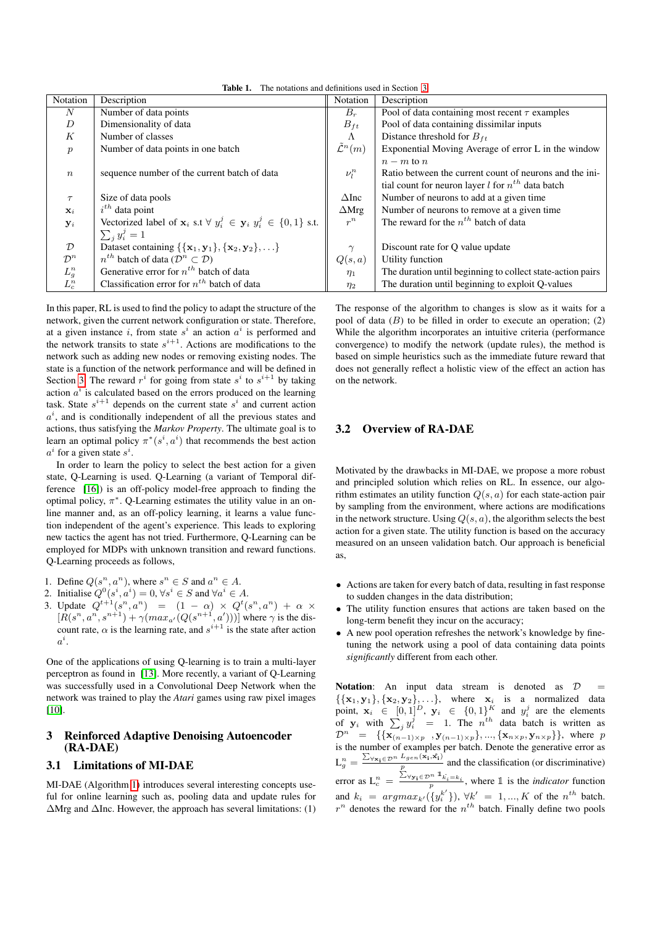<span id="page-2-1"></span>Table 1. The notations and definitions used in Section [3](#page-2-0)

| Notation          | Description                                                                                      | Notation                   | Description                                                  |
|-------------------|--------------------------------------------------------------------------------------------------|----------------------------|--------------------------------------------------------------|
| $\boldsymbol{N}$  | Number of data points                                                                            | $B_r$                      | Pool of data containing most recent $\tau$ examples          |
| D                 | Dimensionality of data                                                                           | $B_{ft}$                   | Pool of data containing dissimilar inputs                    |
| K                 | Number of classes                                                                                | $\Lambda$                  | Distance threshold for $B_{ft}$                              |
| $\boldsymbol{p}$  | Number of data points in one batch                                                               | $\tilde{\mathcal{L}}^n(m)$ | Exponential Moving Average of error L in the window          |
|                   |                                                                                                  |                            | $n-m$ to n                                                   |
| $\boldsymbol{n}$  | sequence number of the current batch of data                                                     | $\nu^n_l$                  | Ratio between the current count of neurons and the ini-      |
|                   |                                                                                                  |                            | tial count for neuron layer <i>l</i> for $n^{th}$ data batch |
| $\tau$            | Size of data pools                                                                               | $\Delta$ Inc               | Number of neurons to add at a given time                     |
| $\mathbf{x}_i$    | $i^{th}$ data point                                                                              | $\Delta Mrg$               | Number of neurons to remove at a given time.                 |
| $y_i$             | Vectorized label of $\mathbf{x}_i$ s.t $\forall y_i^j \in \mathbf{y}_i$ $y_i^j \in \{0,1\}$ s.t. | $r^n$                      | The reward for the $n^{th}$ batch of data                    |
|                   | $\sum_i y_i^j = 1$                                                                               |                            |                                                              |
| $\mathcal{D}$     | Dataset containing $\{\{\mathbf x_1, \mathbf y_1\}, \{\mathbf x_2, \mathbf y_2\}, \ldots\}$      | $\gamma$                   | Discount rate for Q value update                             |
| $\mathcal{D}^n$   | $n^{th}$ batch of data ( $\mathcal{D}^n \subset \mathcal{D}$ )                                   | Q(s, a)                    | Utility function                                             |
| $\mathcal{L}^n_g$ | Generative error for $n^{th}$ batch of data                                                      | $\eta_1$                   | The duration until beginning to collect state-action pairs   |
| $L_c^n$           | Classification error for $n^{th}$ batch of data                                                  | $\eta_2$                   | The duration until beginning to exploit Q-values             |

In this paper, RL is used to find the policy to adapt the structure of the network, given the current network configuration or state. Therefore, at a given instance i, from state  $s^i$  an action  $a^i$  is performed and the network transits to state  $s^{i+1}$ . Actions are modifications to the network such as adding new nodes or removing existing nodes. The state is a function of the network performance and will be defined in Section [3.](#page-2-0) The reward  $r^i$  for going from state  $s^i$  to  $s^{i+1}$  by taking action  $a^i$  is calculated based on the errors produced on the learning task. State  $s^{i+1}$  depends on the current state  $s^i$  and current action  $a^i$ , and is conditionally independent of all the previous states and actions, thus satisfying the *Markov Property*. The ultimate goal is to learn an optimal policy  $\pi^*(s^i, a^i)$  that recommends the best action  $a^i$  for a given state  $s^i$ .

In order to learn the policy to select the best action for a given state, Q-Learning is used. Q-Learning (a variant of Temporal difference [\[16\]](#page-8-17)) is an off-policy model-free approach to finding the optimal policy,  $\pi^*$ . Q-Learning estimates the utility value in an online manner and, as an off-policy learning, it learns a value function independent of the agent's experience. This leads to exploring new tactics the agent has not tried. Furthermore, Q-Learning can be employed for MDPs with unknown transition and reward functions. Q-Learning proceeds as follows,

- 1. Define  $Q(s^n, a^n)$ , where  $s^n \in S$  and  $a^n \in A$ .
- 2. Initialise  $Q^0(s^i, a^i) = 0, \forall s^i \in S$  and  $\forall a^i \in A$ .
- 3. Update  $Q^{t+1}(s^n, a^n) = (1 \alpha) \times Q^t(s^n, a^n) + \alpha \times$  $[R(s^n, a^n, s^{n+1}) + \gamma(max_{a'}(Q(s^{n+1}, a')))]$  where  $\gamma$  is the discount rate,  $\alpha$  is the learning rate, and  $s^{i+1}$  is the state after action  $a^i$ .

One of the applications of using Q-learning is to train a multi-layer perceptron as found in [\[13\]](#page-8-10). More recently, a variant of Q-Learning was successfully used in a Convolutional Deep Network when the network was trained to play the *Atari* games using raw pixel images [\[10\]](#page-8-11).

# <span id="page-2-0"></span>3 Reinforced Adaptive Denoising Autoencoder (RA-DAE)

# 3.1 Limitations of MI-DAE

MI-DAE (Algorithm [1\)](#page-1-2) introduces several interesting concepts useful for online learning such as, pooling data and update rules for ∆Mrg and ∆Inc. However, the approach has several limitations: (1)

The response of the algorithm to changes is slow as it waits for a pool of data  $(B)$  to be filled in order to execute an operation;  $(2)$ While the algorithm incorporates an intuitive criteria (performance convergence) to modify the network (update rules), the method is based on simple heuristics such as the immediate future reward that does not generally reflect a holistic view of the effect an action has on the network.

# 3.2 Overview of RA-DAE

Motivated by the drawbacks in MI-DAE, we propose a more robust and principled solution which relies on RL. In essence, our algorithm estimates an utility function  $Q(s, a)$  for each state-action pair by sampling from the environment, where actions are modifications in the network structure. Using  $Q(s, a)$ , the algorithm selects the best action for a given state. The utility function is based on the accuracy measured on an unseen validation batch. Our approach is beneficial as,

- Actions are taken for every batch of data, resulting in fast response to sudden changes in the data distribution;
- The utility function ensures that actions are taken based on the long-term benefit they incur on the accuracy;
- A new pool operation refreshes the network's knowledge by finetuning the network using a pool of data containing data points *significantly* different from each other.

Notation: An input data stream is denoted as  $D$  $\{\{\mathbf x_1, \mathbf y_1\}, \{\mathbf x_2, \mathbf y_2\}, \ldots\}$ , where  $\mathbf x_i$  is a normalized data point,  $\mathbf{x}_i \in [0,1]^D$ ,  $\mathbf{y}_i \in \{0,1\}^K$  and  $y_i^j$  are the elements of  $y_i$  with  $\sum_j y_i^j = 1$ . The  $n^{th}$  data batch is written as  $\mathcal{D}^n = \{ \{ \mathbf{x}_{(n-1)\times p}, \mathbf{y}_{(n-1)\times p} \}, ..., \{ \mathbf{x}_{n\times p}, \mathbf{y}_{n\times p} \} \},\$  where p is the number of examples per batch. Denote the generative error as  $L_g^n = \frac{\sum_{\forall \mathbf{x_i} \in \mathcal{D}^n} L_{gen}(\mathbf{x_i}, \hat{\mathbf{x_i}})}{n}$  $\frac{p_{gen}^{(1)}(n+1)-p_{1}}{p}$  and the classification (or discriminative) error as  $L_c^n = \frac{\sum_{\forall y_i \in \mathcal{D}^n} \mathbb{1}_{k_i = k_i}}{p}$ , where  $\mathbb{1}$  is the *indicator* function and  $k_i = argmax_{k'}(\lbrace y_i^{k'} \rbrace)$ ,  $\forall k' = 1, ..., K$  of the  $n^{th}$  batch.  $r^n$  denotes the reward for the  $n^{th}$  batch. Finally define two pools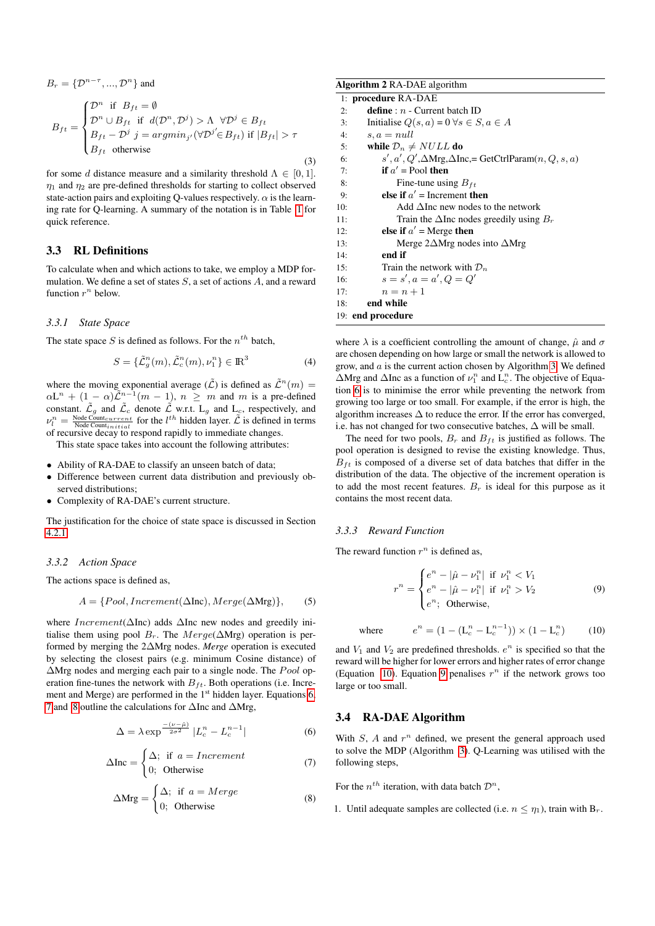<span id="page-3-7"></span>
$$
B_r = \{ \mathcal{D}^{n-\tau}, ..., \mathcal{D}^n \} \text{ and}
$$
  
\n
$$
B_{ft} = \begin{cases} \mathcal{D}^n & \text{if } B_{ft} = \emptyset \\ \mathcal{D}^n \cup B_{ft} & \text{if } d(\mathcal{D}^n, \mathcal{D}^j) > \Lambda \ \forall \mathcal{D}^j \in B_{ft} \\ B_{ft} - \mathcal{D}^j & j = \operatorname{argmin}_{j'} (\forall \mathcal{D}^{j'} \in B_{ft}) \text{ if } |B_{ft}| > \tau \\ B_{ft} & \text{otherwise} \end{cases}
$$
\n(3)

for some d distance measure and a similarity threshold  $\Lambda \in [0, 1]$ .  $\eta_1$  and  $\eta_2$  are pre-defined thresholds for starting to collect observed state-action pairs and exploiting Q-values respectively.  $\alpha$  is the learning rate for Q-learning. A summary of the notation is in Table [1](#page-2-1) for quick reference.

# 3.3 RL Definitions

To calculate when and which actions to take, we employ a MDP formulation. We define a set of states  $S$ , a set of actions  $A$ , and a reward function  $r^n$  below.

#### <span id="page-3-8"></span>*3.3.1 State Space*

The state space S is defined as follows. For the  $n^{th}$  batch,

$$
S = {\tilde{\mathcal{L}}}_g^n(m), {\tilde{\mathcal{L}}}_c^n(m), \nu_1^n {\} \in \mathbb{R}^3
$$
 (4)

where the moving exponential average  $(\tilde{\mathcal{L}})$  is defined as  $\tilde{\mathcal{L}}^n(m) =$  $\alpha L^{n} + (1 - \alpha) \tilde{\mathcal{L}}^{n-1}(m - 1), n \geq m$  and m is a pre-defined constant.  $\tilde{\mathcal{L}}_g$  and  $\tilde{\mathcal{L}}_c$  denote  $\tilde{\mathcal{L}}$  w.r.t.  $L_g$  and  $L_c$ , respectively, and  $\nu_l^n = \frac{\text{Node Count}_{current}}{\text{Node Count}_{initial}}$  for the  $l^{th}$  hidden layer.  $\tilde{\mathcal{L}}$  is defined in terms of recursive decay to respond rapidly to immediate changes.

This state space takes into account the following attributes:

- Ability of RA-DAE to classify an unseen batch of data;
- Difference between current data distribution and previously observed distributions;
- Complexity of RA-DAE's current structure.

The justification for the choice of state space is discussed in Section [4.2.1.](#page-5-0)

#### *3.3.2 Action Space*

The actions space is defined as,

$$
A = \{Pool, increment(\Delta Inc), Merge(\Delta Mrg)\},\qquad(5)
$$

where *Increment*( $\Delta$ Inc) adds  $\Delta$ Inc new nodes and greedily initialise them using pool  $B_r$ . The  $Merge(\Delta Mrg)$  operation is performed by merging the 2∆Mrg nodes. *Merge* operation is executed by selecting the closest pairs (e.g. minimum Cosine distance) of  $\Delta$ Mrg nodes and merging each pair to a single node. The *Pool* operation fine-tunes the network with  $B_{ft}$ . Both operations (i.e. Increment and Merge) are performed in the  $1<sup>st</sup>$  hidden layer. Equations [6,](#page-3-0) [7](#page-3-1) and [8](#page-3-2) outline the calculations for ∆Inc and ∆Mrg,

$$
\Delta = \lambda \exp^{-\frac{-(\nu - \hat{\mu})}{2\sigma^2}} |L_c^n - L_c^{n-1}|
$$
 (6)

<span id="page-3-1"></span>
$$
\Delta \text{Inc} = \begin{cases} \Delta; & \text{if } a = {\textit{Increment}} \\ 0; & \text{Otherwise} \end{cases} \tag{7}
$$

<span id="page-3-2"></span>
$$
\Delta Mrg = \begin{cases} \Delta; & \text{if } a = Merge \\ 0; & \text{Otherwise} \end{cases}
$$
 (8)

<span id="page-3-6"></span>

| <b>Algorithm 2 RA-DAE</b> algorithm                                        |  |  |  |  |
|----------------------------------------------------------------------------|--|--|--|--|
| 1: procedure RA-DAE                                                        |  |  |  |  |
| <b>define</b> : $n$ - Current batch ID<br>2:                               |  |  |  |  |
| Initialise $Q(s, a) = 0 \forall s \in S, a \in A$<br>3:                    |  |  |  |  |
| $s, a = null$<br>4:                                                        |  |  |  |  |
| while $\mathcal{D}_n \neq NULL$ do<br>5:                                   |  |  |  |  |
| $s', a', Q', \Delta Mrg, \Delta Inc$ , = GetCtrlParam $(n, Q, s, a)$<br>6: |  |  |  |  |
| if $a'$ = Pool then<br>7:                                                  |  |  |  |  |
| Fine-tune using $B_{ft}$<br>8:                                             |  |  |  |  |
| else if $a'$ = Increment then<br>9:                                        |  |  |  |  |
| Add $\Delta$ Inc new nodes to the network<br>10:                           |  |  |  |  |
| Train the $\Delta$ Inc nodes greedily using $B_r$<br>11:                   |  |  |  |  |
| else if $a'$ = Merge then<br>12:                                           |  |  |  |  |
| Merge $2\Delta Mrg$ nodes into $\Delta Mrg$<br>13:                         |  |  |  |  |
| end if<br>14:                                                              |  |  |  |  |
| Train the network with $\mathcal{D}_n$<br>15:                              |  |  |  |  |
| $s = s', a = a', Q = Q'$<br>16:                                            |  |  |  |  |
| $n = n + 1$<br>17:                                                         |  |  |  |  |
| end while<br>18:                                                           |  |  |  |  |
| 19: end procedure                                                          |  |  |  |  |

<span id="page-3-5"></span>where  $\lambda$  is a coefficient controlling the amount of change,  $\hat{\mu}$  and  $\sigma$ are chosen depending on how large or small the network is allowed to grow, and  $a$  is the current action chosen by Algorithm [3.](#page-4-0) We defined  $\Delta$ Mrg and  $\Delta$ Inc as a function of  $\nu_1^n$  and  $L_c^n$ . The objective of Equation [6](#page-3-0) is to minimise the error while preventing the network from growing too large or too small. For example, if the error is high, the algorithm increases  $\Delta$  to reduce the error. If the error has converged, i.e. has not changed for two consecutive batches,  $\Delta$  will be small.

The need for two pools,  $B_r$  and  $B_{ft}$  is justified as follows. The pool operation is designed to revise the existing knowledge. Thus,  $B_{ft}$  is composed of a diverse set of data batches that differ in the distribution of the data. The objective of the increment operation is to add the most recent features.  $B_r$  is ideal for this purpose as it contains the most recent data.

## *3.3.3 Reward Function*

The reward function  $r^n$  is defined as,

<span id="page-3-4"></span>
$$
r^{n} = \begin{cases} e^{n} - |\hat{\mu} - \nu_{1}^{n}| & \text{if } \nu_{1}^{n} < V_{1} \\ e^{n} - |\hat{\mu} - \nu_{1}^{n}| & \text{if } \nu_{1}^{n} > V_{2} \\ e^{n}; & \text{Otherwise,} \end{cases} \tag{9}
$$

<span id="page-3-3"></span>where  $n^n = (1 - (L_c^n - L_c^{n-1})) \times (1 - L_c^n)$  $(10)$ 

and  $V_1$  and  $V_2$  are predefined thresholds.  $e^n$  is specified so that the reward will be higher for lower errors and higher rates of error change (Equation [10\)](#page-3-3). Equation [9](#page-3-4) penalises  $r^n$  if the network grows too large or too small.

# <span id="page-3-0"></span>3.4 RA-DAE Algorithm

With  $S$ ,  $A$  and  $r^n$  defined, we present the general approach used to solve the MDP (Algorithm [3\)](#page-4-0). Q-Learning was utilised with the following steps,

For the  $n^{th}$  iteration, with data batch  $\mathcal{D}^n$ ,

1. Until adequate samples are collected (i.e.  $n \leq \eta_1$ ), train with  $B_r$ .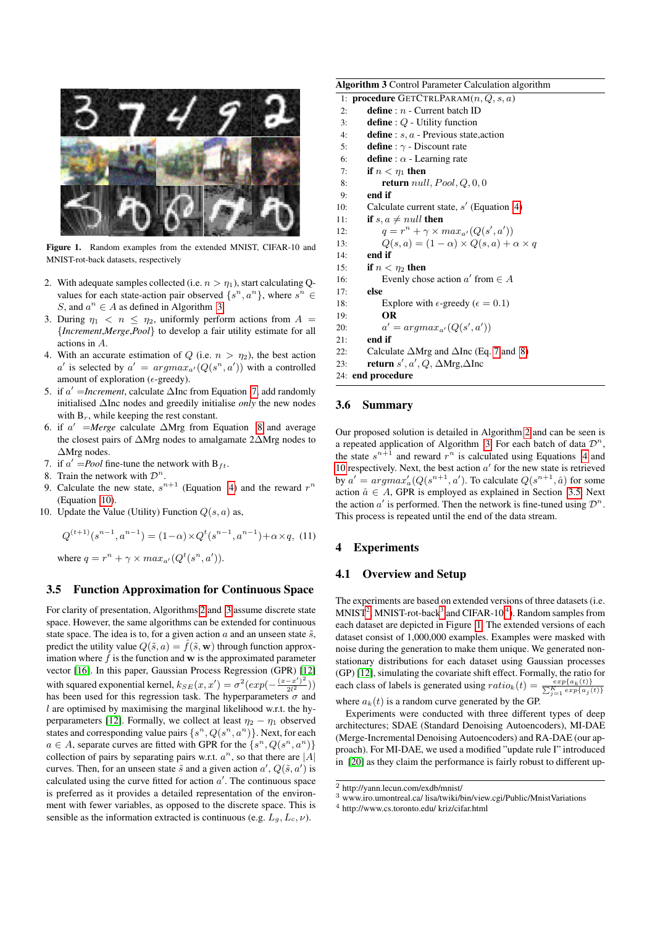

Figure 1. Random examples from the extended MNIST, CIFAR-10 and MNIST-rot-back datasets, respectively

- <span id="page-4-5"></span>2. With adequate samples collected (i.e.  $n > \eta_1$ ), start calculating Qvalues for each state-action pair observed  $\{s^n, a^n\}$ , where  $s^n \in$ S, and  $a^n \in A$  as defined in Algorithm [3.](#page-4-0)
- 3. During  $\eta_1 < n \leq \eta_2$ , uniformly perform actions from  $A =$ {*Increment*,*Merge*,*Pool*} to develop a fair utility estimate for all actions in A.
- 4. With an accurate estimation of Q (i.e.  $n > \eta_2$ ), the best action a' is selected by  $a' = argmax_{a'}(Q(s^n, a'))$  with a controlled amount of exploration ( $\epsilon$ -greedy).
- 5. if *a'* =*Increment*, calculate ∆Inc from Equation [7,](#page-3-1) add randomly initialised ∆Inc nodes and greedily initialise *only* the new nodes with  $B_r$ , while keeping the rest constant.
- 6. if  $a'$  = *Merge* calculate  $\Delta Mrg$  from Equation [8](#page-3-2) and average the closest pairs of ∆Mrg nodes to amalgamate 2∆Mrg nodes to ∆Mrg nodes.
- 7. if  $a' = Pool$  fine-tune the network with  $B_{ft}$ .
- 8. Train the network with  $\mathcal{D}^n$ .
- 9. Calculate the new state,  $s^{n+1}$  (Equation [4\)](#page-3-5) and the reward  $r^n$ (Equation [10\)](#page-3-3).
- 10. Update the Value (Utility) Function  $Q(s, a)$  as,

<span id="page-4-6"></span>
$$
Q^{(t+1)}(s^{n-1}, a^{n-1}) = (1 - \alpha) \times Q^t(s^{n-1}, a^{n-1}) + \alpha \times q, (11)
$$

where  $q = r^n + \gamma \times max_{a'}(Q^t(s^n, a')).$ 

## <span id="page-4-1"></span>3.5 Function Approximation for Continuous Space

For clarity of presentation, Algorithms [2](#page-3-6) and [3](#page-4-0) assume discrete state space. However, the same algorithms can be extended for continuous state space. The idea is to, for a given action  $a$  and an unseen state  $\tilde{s}$ , predict the utility value  $Q(\tilde{s}, a) = \hat{f}(\tilde{s}, \mathbf{w})$  through function approximation where  $\hat{f}$  is the function and w is the approximated parameter vector [\[16\]](#page-8-17). In this paper, Gaussian Process Regression (GPR) [\[12\]](#page-8-18) with squared exponential kernel,  $k_{SE}(x, x') = \sigma^2(exp(-\frac{(x-x')^2}{2l^2}))$  $\frac{-x^{-} - x^{-}}{2l^{2}}))$ has been used for this regression task. The hyperparameters  $\sigma$  and  $l$  are optimised by maximising the marginal likelihood w.r.t. the hy-perparameters [\[12\]](#page-8-18). Formally, we collect at least  $\eta_2 - \eta_1$  observed states and corresponding value pairs  $\{s^n, Q(s^n, a^n)\}\$ . Next, for each  $a \in A$ , separate curves are fitted with GPR for the  $\{s^n, Q(s^n, a^n)\}$ collection of pairs by separating pairs w.r.t.  $a^n$ , so that there are |A| curves. Then, for an unseen state  $\tilde{s}$  and a given action  $a', Q(\tilde{s}, a')$  is calculated using the curve fitted for action  $a'$ . The continuous space is preferred as it provides a detailed representation of the environment with fewer variables, as opposed to the discrete space. This is sensible as the information extracted is continuous (e.g.  $L_q$ ,  $L_c$ ,  $\nu$ ).

<span id="page-4-0"></span>

| <b>Algorithm 3</b> Control Parameter Calculation algorithm       |  |  |  |
|------------------------------------------------------------------|--|--|--|
| 1: <b>procedure</b> GETCTRLPARAM $(n, Q, s, a)$                  |  |  |  |
| define : $n$ - Current batch ID<br>2:                            |  |  |  |
| <b>define</b> : $Q$ - Utility function<br>3:                     |  |  |  |
| <b>define</b> : $s, a$ - Previous state, action<br>4:            |  |  |  |
| <b>define</b> : $\gamma$ - Discount rate<br>5:                   |  |  |  |
| <b>define</b> : $\alpha$ - Learning rate<br>6:                   |  |  |  |
| if $n < \eta_1$ then<br>7:                                       |  |  |  |
| <b>return</b> <i>null</i> , $Pool, Q, 0, 0$<br>8:                |  |  |  |
| end if<br>9:                                                     |  |  |  |
| Calculate current state, $s'$ (Equation 4)<br>10:                |  |  |  |
| if $s, a \neq null$ then<br>11:                                  |  |  |  |
| $q = r^n + \gamma \times max_{a'}(Q(s', a'))$<br>12:             |  |  |  |
| $Q(s, a) = (1 - \alpha) \times Q(s, a) + \alpha \times q$<br>13: |  |  |  |
| end if<br>14:                                                    |  |  |  |
| if $n < n_2$ then<br>15:                                         |  |  |  |
| Evenly chose action $a'$ from $\in A$<br>16:                     |  |  |  |
| else<br>17:                                                      |  |  |  |
| Explore with $\epsilon$ -greedy ( $\epsilon = 0.1$ )<br>18:      |  |  |  |
| OR<br>19:                                                        |  |  |  |
| $a' = argmax_{a'}(Q(s', a'))$<br>20:                             |  |  |  |
| end if<br>21:                                                    |  |  |  |
| Calculate $\Delta Mrg$ and $\Delta Inc$ (Eq. 7 and 8)<br>22:     |  |  |  |
| <b>return</b> s', a', Q, $\Delta Mrg, \Delta Inc$<br>23:         |  |  |  |
| 24: end procedure                                                |  |  |  |
|                                                                  |  |  |  |

## 3.6 Summary

Our proposed solution is detailed in Algorithm [2](#page-3-6) and can be seen is a repeated application of Algorithm [3.](#page-4-0) For each batch of data  $\mathcal{D}^n$ , the state  $s^{n+1}$  and reward  $r^n$  is calculated using Equations [4](#page-3-5) and [10](#page-3-3) respectively. Next, the best action  $a'$  for the new state is retrieved by  $a' = argmax_a' (Q(s^{n+1}, a')$ . To calculate  $Q(s^{n+1}, a)$  for some action  $\hat{a} \in A$ , GPR is employed as explained in Section [3.5.](#page-4-1) Next the action  $a'$  is performed. Then the network is fine-tuned using  $\mathcal{D}^n$ . This process is repeated until the end of the data stream.

## **Experiments**

# 4.1 Overview and Setup

The experiments are based on extended versions of three datasets (i.e.  $MNIST<sup>2</sup>$  $MNIST<sup>2</sup>$  $MNIST<sup>2</sup>$ , MNIST-rot-back<sup>[3](#page-4-3)</sup> and CIFAR-10<sup>[4](#page-4-4)</sup>). Random samples from each dataset are depicted in Figure [1.](#page-4-5) The extended versions of each dataset consist of 1,000,000 examples. Examples were masked with noise during the generation to make them unique. We generated nonstationary distributions for each dataset using Gaussian processes (GP) [\[12\]](#page-8-18), simulating the covariate shift effect. Formally, the ratio for each class of labels is generated using  $ratio_k(t) = \frac{exp\{a_k(t)\}}{\sum_{j=1}^K exp\{a_j(t)\}}$ where  $a_k(t)$  is a random curve generated by the GP.

Experiments were conducted with three different types of deep architectures; SDAE (Standard Denoising Autoencoders), MI-DAE (Merge-Incremental Denoising Autoencoders) and RA-DAE (our approach). For MI-DAE, we used a modified "update rule I" introduced in [\[20\]](#page-8-16) as they claim the performance is fairly robust to different up-

<span id="page-4-2"></span><sup>2</sup> http://yann.lecun.com/exdb/mnist/

<span id="page-4-3"></span><sup>3</sup> www.iro.umontreal.ca/ lisa/twiki/bin/view.cgi/Public/MnistVariations

<span id="page-4-4"></span><sup>4</sup> http://www.cs.toronto.edu/ kriz/cifar.html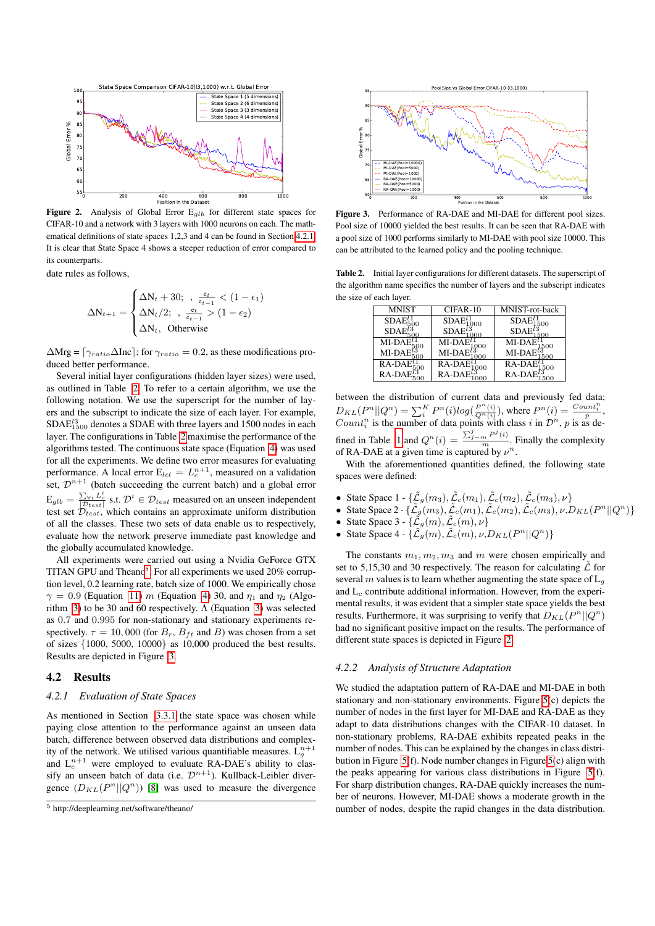

<span id="page-5-4"></span>Figure 2. Analysis of Global Error  $E_{qlb}$  for different state spaces for CIFAR-10 and a network with 3 layers with 1000 neurons on each. The mathematical definitions of state spaces 1,2,3 and 4 can be found in Section [4.2.1.](#page-5-0) It is clear that State Space 4 shows a steeper reduction of error compared to its counterparts.

date rules as follows,

$$
\Delta N_{t+1} = \begin{cases} \Delta N_t + 30; & , \frac{e_t}{e_{t-1}} < (1 - \epsilon_1) \\ \Delta N_t / 2; & , \frac{e_t}{e_{t-1}} > (1 - \epsilon_2) \\ \Delta N_t, & \text{Otherwise} \end{cases}
$$

 $\Delta \text{Mrg} = [\gamma_{ratio} \Delta \text{Inc}]$ ; for  $\gamma_{ratio} = 0.2$ , as these modifications produced better performance.

Several initial layer configurations (hidden layer sizes) were used, as outlined in Table [2.](#page-5-1) To refer to a certain algorithm, we use the following notation. We use the superscript for the number of layers and the subscript to indicate the size of each layer. For example,  $SDAE^{l3}_{1500}$  denotes a SDAE with three layers and 1500 nodes in each layer. The configurations in Table [2](#page-5-1) maximise the performance of the algorithms tested. The continuous state space (Equation [4\)](#page-3-5) was used for all the experiments. We define two error measures for evaluating performance. A local error  $E_{lcl} = L_c^{n+1}$ , measured on a validation set,  $\mathcal{D}^{n+1}$  (batch succeeding the current batch) and a global error  $E_{glb} = \frac{\sum_{\forall i} L_c^i}{|\mathcal{D}_{test}|}$  s.t.  $\mathcal{D}^i \in \mathcal{D}_{test}$  measured on an unseen independent test set  $\mathcal{D}_{test}$ , which contains an approximate uniform distribution of all the classes. These two sets of data enable us to respectively, evaluate how the network preserve immediate past knowledge and the globally accumulated knowledge.

All experiments were carried out using a Nvidia GeForce GTX TITAN GPU and Theano<sup>[5](#page-5-2)</sup>. For all experiments we used 20% corruption level, 0.2 learning rate, batch size of 1000. We empirically chose  $\gamma = 0.9$  (Equation [11\)](#page-4-6) m (Equation [4\)](#page-3-5) 30, and  $\eta_1$  and  $\eta_2$  (Algo-rithm [3\)](#page-3-7) to be 30 and 60 respectively.  $\Lambda$  (Equation 3) was selected as 0.7 and 0.995 for non-stationary and stationary experiments respectively.  $\tau = 10,000$  (for  $B_r$ ,  $B_{ft}$  and B) was chosen from a set of sizes {1000, 5000, 10000} as 10,000 produced the best results. Results are depicted in Figure [3.](#page-5-3)

## 4.2 Results

#### <span id="page-5-0"></span>*4.2.1 Evaluation of State Spaces*

As mentioned in Section [3.3.1](#page-3-8) the state space was chosen while paying close attention to the performance against an unseen data batch, difference between observed data distributions and complexity of the network. We utilised various quantifiable measures.  $L_g^{n+1}$ and  $L_c^{n+1}$  were employed to evaluate RA-DAE's ability to classify an unseen batch of data (i.e.  $\mathcal{D}^{n+1}$ ). Kullback-Leibler divergence  $(D_{KL}(P^n||Q^n))$  [\[8\]](#page-8-19) was used to measure the divergence



<span id="page-5-3"></span>Figure 3. Performance of RA-DAE and MI-DAE for different pool sizes. Pool size of 10000 yielded the best results. It can be seen that RA-DAE with a pool size of 1000 performs similarly to MI-DAE with pool size 10000. This can be attributed to the learned policy and the pooling technique.

Table 2. Initial layer configurations for different datasets. The superscript of the algorithm name specifies the number of layers and the subscript indicates the size of each layer.

<span id="page-5-1"></span>

| <b>MNIST</b> | CIFAR-10    | MNIST-rot-back |
|--------------|-------------|----------------|
| <b>SDAE</b>  | <b>SDAE</b> | <b>SDAE</b>    |
|              |             |                |
| MI-DA        | MI-DA       | MI-DA          |
| MI-DA        | MI-DA       | MI-DA          |
| RA-DA        | RA-DA       | RA-DA<br>500   |
| $RA-DA$      | RA-DA       | $RA$ -DA       |

between the distribution of current data and previously fed data;  $D_{KL}(P^n||Q^n) = \sum_{i=1}^{K} P^n(i)log(\frac{P^n(i)}{Q^n(i)})$ , where  $P^n(i) = \frac{Count_i^n}{p}$ . Count<sup>n</sup> is the number of data points with class i in  $\mathcal{D}^n$ , p is as de-fined in Table [1](#page-2-1) and  $Q^n(i) = \frac{\sum_{j=m}^j P^j(i)}{m}$ . Finally the complexity of RA-DAE at a given time is captured by  $\nu^n$ .

With the aforementioned quantities defined, the following state spaces were defined:

- State Space  $1 {\{\tilde{\mathcal{L}}_g(m_3), \tilde{\mathcal{L}}_c(m_1), \tilde{\mathcal{L}}_c(m_2), \tilde{\mathcal{L}}_c(m_3), \nu\}}$
- State Space 2  $\{\tilde{\mathcal{L}}_g(m_3), \tilde{\mathcal{L}}_c(m_1), \tilde{\mathcal{L}}_c(m_2), \tilde{\mathcal{L}}_c(m_3), \nu, D_{KL}(P^n||Q^n)\}$
- State Space 3  $\{\tilde{\mathcal{L}}_g(m), \tilde{\mathcal{L}}_c(m), \nu\}$
- State Space 4  $\{\tilde{\mathcal{L}}_g(m), \tilde{\mathcal{L}}_c(m), \nu, D_{KL}(P^n || Q^n)\}$

The constants  $m_1, m_2, m_3$  and m were chosen empirically and set to 5,15,30 and 30 respectively. The reason for calculating  $\tilde{\mathcal{L}}$  for several m values is to learn whether augmenting the state space of  $L_g$ and  $L_c$  contribute additional information. However, from the experimental results, it was evident that a simpler state space yields the best results. Furthermore, it was surprising to verify that  $D_{KL}(P^n||Q^n)$ had no significant positive impact on the results. The performance of different state spaces is depicted in Figure [2.](#page-5-4)

#### *4.2.2 Analysis of Structure Adaptation*

We studied the adaptation pattern of RA-DAE and MI-DAE in both stationary and non-stationary environments. Figure [5\(](#page-7-0)c) depicts the number of nodes in the first layer for MI-DAE and RA-DAE as they adapt to data distributions changes with the CIFAR-10 dataset. In non-stationary problems, RA-DAE exhibits repeated peaks in the number of nodes. This can be explained by the changes in class distribution in Figure [5\(](#page-7-0)f). Node number changes in Figure [5\(](#page-7-0)c) align with the peaks appearing for various class distributions in Figure [5\(](#page-7-0)f). For sharp distribution changes, RA-DAE quickly increases the number of neurons. However, MI-DAE shows a moderate growth in the number of nodes, despite the rapid changes in the data distribution.

<span id="page-5-2"></span><sup>5</sup> http://deeplearning.net/software/theano/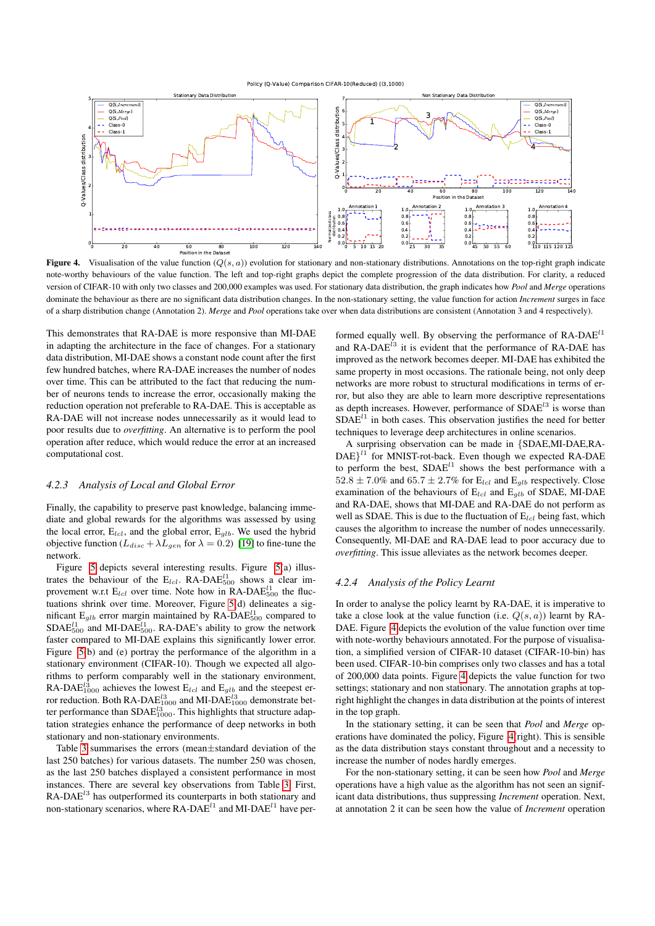

<span id="page-6-0"></span>Figure 4. Visualisation of the value function  $(Q(s, a))$  evolution for stationary and non-stationary distributions. Annotations on the top-right graph indicate note-worthy behaviours of the value function. The left and top-right graphs depict the complete progression of the data distribution. For clarity, a reduced version of CIFAR-10 with only two classes and 200,000 examples was used. For stationary data distribution, the graph indicates how *Pool* and *Merge* operations dominate the behaviour as there are no significant data distribution changes. In the non-stationary setting, the value function for action *Increment* surges in face of a sharp distribution change (Annotation 2). *Merge* and *Pool* operations take over when data distributions are consistent (Annotation 3 and 4 respectively).

This demonstrates that RA-DAE is more responsive than MI-DAE in adapting the architecture in the face of changes. For a stationary data distribution, MI-DAE shows a constant node count after the first few hundred batches, where RA-DAE increases the number of nodes over time. This can be attributed to the fact that reducing the number of neurons tends to increase the error, occasionally making the reduction operation not preferable to RA-DAE. This is acceptable as RA-DAE will not increase nodes unnecessarily as it would lead to poor results due to *overfitting*. An alternative is to perform the pool operation after reduce, which would reduce the error at an increased computational cost.

#### *4.2.3 Analysis of Local and Global Error*

Finally, the capability to preserve past knowledge, balancing immediate and global rewards for the algorithms was assessed by using the local error,  $E_{lcl}$ , and the global error,  $E_{glb}$ . We used the hybrid objective function  $(L_{disc} + \lambda L_{gen}$  for  $\lambda = 0.2)$  [\[19\]](#page-8-9) to fine-tune the network.

Figure [5](#page-7-0) depicts several interesting results. Figure [5\(](#page-7-0)a) illustrates the behaviour of the  $E_{lcl}$ . RA-DA $E_{500}^{l1}$  shows a clear improvement w.r.t  $E_{lcl}$  over time. Note how in RA-DA $E_{500}^{l_1}$  the fluctuations shrink over time. Moreover, Figure [5\(](#page-7-0)d) delineates a significant  $E_{glb}$  error margin maintained by RA-DA $E_{500}^{l1}$  compared to SDA $E_{500}^{l1}$  and MI-DA $E_{500}^{l1}$ . RA-DAE's ability to grow the network faster compared to MI-DAE explains this significantly lower error. Figure [5\(](#page-7-0)b) and (e) portray the performance of the algorithm in a stationary environment (CIFAR-10). Though we expected all algorithms to perform comparably well in the stationary environment, RA-DAE<sup> $l_{1000}$ </sup> achieves the lowest  $E_{lcl}$  and  $E_{glb}$  and the steepest error reduction. Both RA-DA $E_{1000}^{13}$  and MI-DA $E_{1000}^{13}$  demonstrate better performance than  $\text{SDAE}_{1000}^{l3}$ . This highlights that structure adaptation strategies enhance the performance of deep networks in both stationary and non-stationary environments.

Table [3](#page-7-1) summarises the errors (mean±standard deviation of the last 250 batches) for various datasets. The number 250 was chosen, as the last 250 batches displayed a consistent performance in most instances. There are several key observations from Table [3.](#page-7-1) First, RA-DAE<sup>13</sup> has outperformed its counterparts in both stationary and non-stationary scenarios, where  $\mathsf{RA}\text{-}\mathsf{DAE}^{l1}$  and  $\mathsf{MI}\text{-}\mathsf{DAE}^{l1}$  have per-

formed equally well. By observing the performance of  $RA-DAE<sup>11</sup>$ and  $RA-DAE^{l3}$  it is evident that the performance of  $RA-DAE$  has improved as the network becomes deeper. MI-DAE has exhibited the same property in most occasions. The rationale being, not only deep networks are more robust to structural modifications in terms of error, but also they are able to learn more descriptive representations as depth increases. However, performance of  $SDAE<sup>13</sup>$  is worse than  $SDAE<sup>11</sup>$  in both cases. This observation justifies the need for better techniques to leverage deep architectures in online scenarios.

A surprising observation can be made in {SDAE,MI-DAE,RA- $DAE$ <sup>11</sup> for MNIST-rot-back. Even though we expected RA-DAE to perform the best,  $SDAE<sup>11</sup>$  shows the best performance with a  $52.8 \pm 7.0\%$  and  $65.7 \pm 2.7\%$  for E<sub>lcl</sub> and E<sub>qlb</sub> respectively. Close examination of the behaviours of  $E_{lcl}$  and  $E_{qlb}$  of SDAE, MI-DAE and RA-DAE, shows that MI-DAE and RA-DAE do not perform as well as SDAE. This is due to the fluctuation of  $E_{lcl}$  being fast, which causes the algorithm to increase the number of nodes unnecessarily. Consequently, MI-DAE and RA-DAE lead to poor accuracy due to *overfitting*. This issue alleviates as the network becomes deeper.

#### *4.2.4 Analysis of the Policy Learnt*

In order to analyse the policy learnt by RA-DAE, it is imperative to take a close look at the value function (i.e.  $Q(s, a)$ ) learnt by RA-DAE. Figure [4](#page-6-0) depicts the evolution of the value function over time with note-worthy behaviours annotated. For the purpose of visualisation, a simplified version of CIFAR-10 dataset (CIFAR-10-bin) has been used. CIFAR-10-bin comprises only two classes and has a total of 200,000 data points. Figure [4](#page-6-0) depicts the value function for two settings; stationary and non stationary. The annotation graphs at topright highlight the changes in data distribution at the points of interest in the top graph.

In the stationary setting, it can be seen that *Pool* and *Merge* operations have dominated the policy, Figure [4\(](#page-6-0)right). This is sensible as the data distribution stays constant throughout and a necessity to increase the number of nodes hardly emerges.

For the non-stationary setting, it can be seen how *Pool* and *Merge* operations have a high value as the algorithm has not seen an significant data distributions, thus suppressing *Increment* operation. Next, at annotation 2 it can be seen how the value of *Increment* operation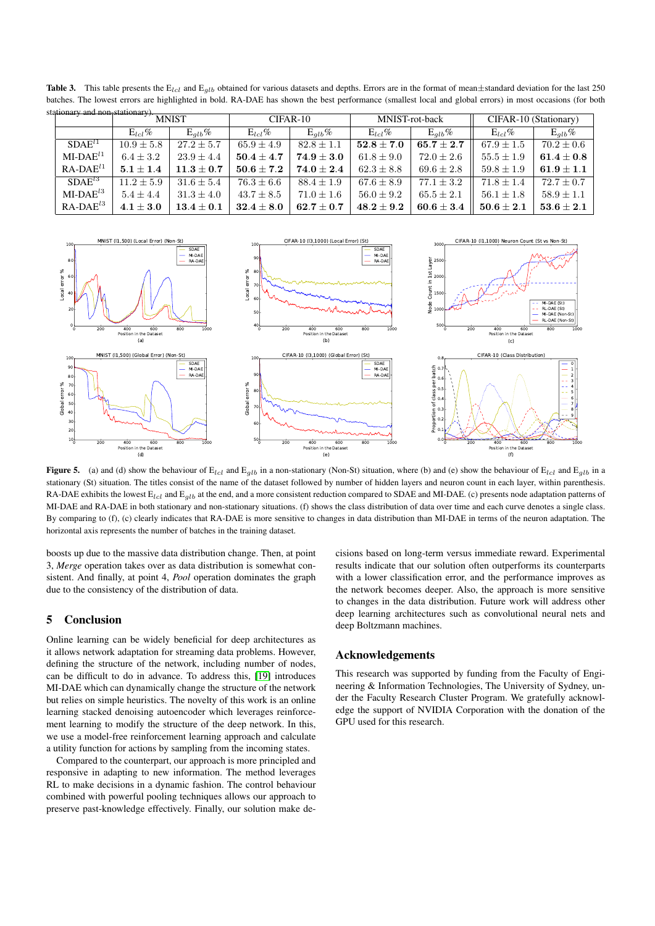|  | stationary and non-stationary). |                |                                  |                |                |                |                       |                                  |                |
|--|---------------------------------|----------------|----------------------------------|----------------|----------------|----------------|-----------------------|----------------------------------|----------------|
|  | <b>MNIST</b>                    |                | CIFAR-10                         |                | MNIST-rot-back |                | CIFAR-10 (Stationary) |                                  |                |
|  |                                 | $E_{lcl}$ %    | $E_{alb}\%$                      | $E_{lcl}\%$    | $E_{alb}\%$    | $E_{1c1}\%$    | $E_{alb}\%$           | $E_{1c1}\%$                      | $E_{alb}\%$    |
|  | $SDAE^{l1}$                     | $10.9 \pm 5.8$ | $27.2 \pm 5.7$                   | $65.9 \pm 4.9$ | $82.8 \pm 1.1$ | $52.8 \pm 7.0$ | $65.7 \pm 2.7$        | $67.9 \pm 1.5$                   | $70.2 \pm 0.6$ |
|  | $MI-DAEl1$                      | $6.4 \pm 3.2$  | $23.9 \pm 4.4$                   | $50.4 \pm 4.7$ | $74.9 + 3.0$   | $61.8 \pm 9.0$ | $72.0 \pm 2.6$        | $55.5 \pm 1.9$                   | $61.4\pm0.8$   |
|  | $RA-DAE^{l1}$                   | $5.1 \pm 1.4$  | $11.3 + 0.7$                     | $50.6 + 7.2$   | $74.0 + 2.4$   | $62.3 \pm 8.8$ | $69.6 \pm 2.8$        | $59.8 \pm 1.9$                   | $61.9 \pm 1.1$ |
|  | $SDAE^{l3}$                     | $11.2 + 5.9$   | $31.6 \pm 5.4$                   | $76.3 \pm 6.6$ | $88.4 + 1.9$   | $67.6 \pm 8.9$ | $77.1 \pm 3.2$        | $71.8 \pm 1.4$                   | $72.7 \pm 0.7$ |
|  | $MI-DAE^{l3}$                   | $5.4 \pm 4.4$  | $31.3 \pm 4.0$                   | $43.7 \pm 8.5$ | $71.0 \pm 1.6$ | $56.0 \pm 9.2$ | $65.5 \pm 2.1$        | $56.1 \pm 1.8$                   | $58.9 \pm 1.1$ |
|  | $RA-DAE^{l3}$                   | $4.1 \pm 3.0$  | $\textbf{13.4} \pm \textbf{0.1}$ | $32.4 \pm 8.0$ | $62.7\pm0.7$   | $48.2 \pm 9.2$ | $60.6 \pm 3.4$        | $\textbf{50.6} \pm \textbf{2.1}$ | $53.6 \pm 2.1$ |

<span id="page-7-1"></span>Table 3. This table presents the  $E_{lcl}$  and  $E_{glb}$  obtained for various datasets and depths. Errors are in the format of mean $\pm$ standard deviation for the last 250 batches. The lowest errors are highlighted in bold. RA-DAE has shown the best performance (smallest local and global errors) in most occasions (for both



<span id="page-7-0"></span>Figure 5. (a) and (d) show the behaviour of  $E_{lcl}$  and  $E_{glb}$  in a non-stationary (Non-St) situation, where (b) and (e) show the behaviour of  $E_{lcl}$  and  $E_{glb}$  in a stationary (St) situation. The titles consist of the name of the dataset followed by number of hidden layers and neuron count in each layer, within parenthesis. RA-DAE exhibits the lowest  $E_{lcl}$  and  $E_{qlb}$  at the end, and a more consistent reduction compared to SDAE and MI-DAE. (c) presents node adaptation patterns of MI-DAE and RA-DAE in both stationary and non-stationary situations. (f) shows the class distribution of data over time and each curve denotes a single class. By comparing to (f), (c) clearly indicates that RA-DAE is more sensitive to changes in data distribution than MI-DAE in terms of the neuron adaptation. The horizontal axis represents the number of batches in the training dataset.

boosts up due to the massive data distribution change. Then, at point 3, *Merge* operation takes over as data distribution is somewhat consistent. And finally, at point 4, *Pool* operation dominates the graph due to the consistency of the distribution of data.

# 5 Conclusion

Online learning can be widely beneficial for deep architectures as it allows network adaptation for streaming data problems. However, defining the structure of the network, including number of nodes, can be difficult to do in advance. To address this, [\[19\]](#page-8-9) introduces MI-DAE which can dynamically change the structure of the network but relies on simple heuristics. The novelty of this work is an online learning stacked denoising autoencoder which leverages reinforcement learning to modify the structure of the deep network. In this, we use a model-free reinforcement learning approach and calculate a utility function for actions by sampling from the incoming states.

Compared to the counterpart, our approach is more principled and responsive in adapting to new information. The method leverages RL to make decisions in a dynamic fashion. The control behaviour combined with powerful pooling techniques allows our approach to preserve past-knowledge effectively. Finally, our solution make decisions based on long-term versus immediate reward. Experimental results indicate that our solution often outperforms its counterparts with a lower classification error, and the performance improves as the network becomes deeper. Also, the approach is more sensitive to changes in the data distribution. Future work will address other deep learning architectures such as convolutional neural nets and deep Boltzmann machines.

# Acknowledgements

This research was supported by funding from the Faculty of Engineering & Information Technologies, The University of Sydney, under the Faculty Research Cluster Program. We gratefully acknowledge the support of NVIDIA Corporation with the donation of the GPU used for this research.